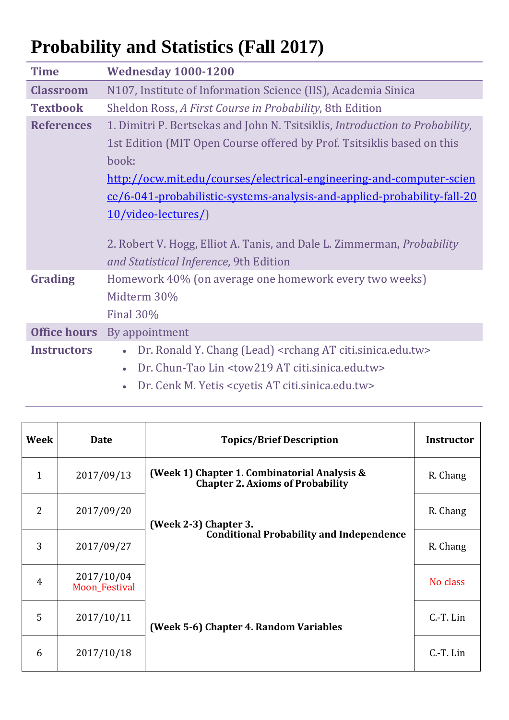## **Probability and Statistics (Fall 2017)**

| <b>Time</b>         | <b>Wednesday 1000-1200</b>                                                                                              |
|---------------------|-------------------------------------------------------------------------------------------------------------------------|
| <b>Classroom</b>    | N107, Institute of Information Science (IIS), Academia Sinica                                                           |
| <b>Textbook</b>     | Sheldon Ross, A First Course in Probability, 8th Edition                                                                |
| <b>References</b>   | 1. Dimitri P. Bertsekas and John N. Tsitsiklis, Introduction to Probability,                                            |
|                     | 1st Edition (MIT Open Course offered by Prof. Tsitsiklis based on this                                                  |
|                     | book:                                                                                                                   |
|                     | http://ocw.mit.edu/courses/electrical-engineering-and-computer-scien                                                    |
|                     | ce/6-041-probabilistic-systems-analysis-and-applied-probability-fall-20                                                 |
|                     | 10/video-lectures/)                                                                                                     |
|                     | 2. Robert V. Hogg, Elliot A. Tanis, and Dale L. Zimmerman, <i>Probability</i><br>and Statistical Inference, 9th Edition |
| Grading             | Homework 40% (on average one homework every two weeks)                                                                  |
|                     | Midterm 30%                                                                                                             |
|                     | <b>Final 30%</b>                                                                                                        |
| <b>Office hours</b> | By appointment                                                                                                          |
| <b>Instructors</b>  | Dr. Ronald Y. Chang (Lead) <rchang at="" citi.sinica.edu.tw=""><br/><math display="inline">\bullet</math></rchang>      |
|                     | Dr. Chun-Tao Lin <tow219 at="" citi.sinica.edu.tw=""></tow219>                                                          |
|                     |                                                                                                                         |

Dr. Cenk M. Yetis <cyetis AT citi.sinica.edu.tw>

| Week           | <b>Date</b>                 | <b>Topics/Brief Description</b>                                                         | <b>Instructor</b> |
|----------------|-----------------------------|-----------------------------------------------------------------------------------------|-------------------|
| $\mathbf{1}$   | 2017/09/13                  | (Week 1) Chapter 1. Combinatorial Analysis &<br><b>Chapter 2. Axioms of Probability</b> | R. Chang          |
| 2              | 2017/09/20                  | (Week 2-3) Chapter 3.                                                                   | R. Chang          |
| 3              | 2017/09/27                  | <b>Conditional Probability and Independence</b>                                         | R. Chang          |
| $\overline{4}$ | 2017/10/04<br>Moon_Festival |                                                                                         | No class          |
| 5              | 2017/10/11                  | (Week 5-6) Chapter 4. Random Variables                                                  | $C.-T. Lin$       |
| 6              | 2017/10/18                  |                                                                                         | C.-T. Lin         |